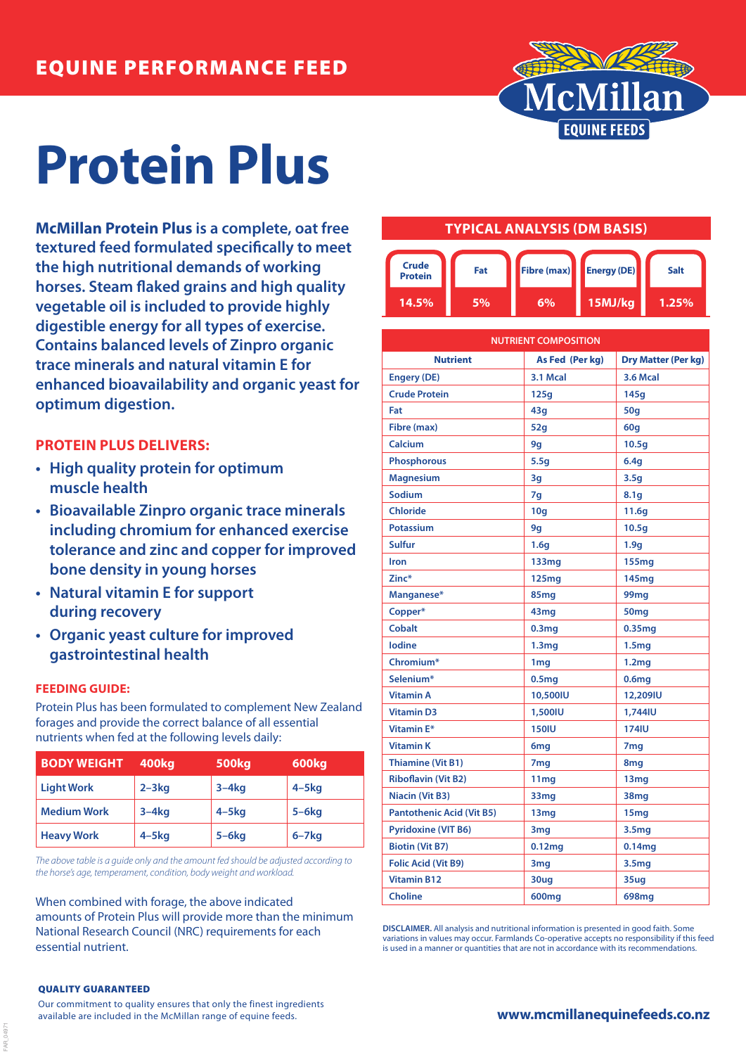

# **Protein Plus**

**McMillan Protein Plus is a complete, oat free textured feed formulated specifically to meet the high nutritional demands of working horses. Steam flaked grains and high quality vegetable oil is included to provide highly digestible energy for all types of exercise. Contains balanced levels of Zinpro organic trace minerals and natural vitamin E for enhanced bioavailability and organic yeast for optimum digestion.**

# **PROTEIN PLUS DELIVERS:**

- **• High quality protein for optimum muscle health**
- **• Bioavailable Zinpro organic trace minerals including chromium for enhanced exercise tolerance and zinc and copper for improved bone density in young horses**
- **• Natural vitamin E for support during recovery**
- **• Organic yeast culture for improved gastrointestinal health**

## **FEEDING GUIDE:**

Protein Plus has been formulated to complement New Zealand forages and provide the correct balance of all essential nutrients when fed at the following levels daily:

| <b>BODY WEIGHT</b> | <b>400kg</b> | 500 <sub>kg</sub> | 600kg        |
|--------------------|--------------|-------------------|--------------|
| <b>Light Work</b>  | $2 - 3kg$    | $3-4kg$           | $4 - 5kg$    |
| <b>Medium Work</b> | $3-4kg$      | $4 - 5$ kg        | $5-6kg$      |
| <b>Heavy Work</b>  | $4 - 5$ kg   | $5-6kg$           | $6 - 7$ $kg$ |

*The above table is a guide only and the amount fed should be adjusted according to the horse's age, temperament, condition, body weight and workload.*

When combined with forage, the above indicated amounts of Protein Plus will provide more than the minimum National Research Council (NRC) requirements for each essential nutrient.

# **TYPICAL ANALYSIS (DM BASIS)**



| <b>NUTRIENT COMPOSITION</b>      |                   |                            |  |
|----------------------------------|-------------------|----------------------------|--|
| <b>Nutrient</b>                  | As Fed (Per kg)   | <b>Dry Matter (Per kg)</b> |  |
| <b>Engery (DE)</b>               | 3.1 Mcal          | <b>3.6 Mcal</b>            |  |
| <b>Crude Protein</b>             | 125q              | 145q                       |  |
| Fat                              | 43q               | 50g                        |  |
| Fibre (max)                      | 52q               | 60g                        |  |
| Calcium                          | 9g                | 10.5 <sub>g</sub>          |  |
| <b>Phosphorous</b>               | 5.5g              | 6.4q                       |  |
| <b>Magnesium</b>                 | 3g                | 3.5q                       |  |
| Sodium                           | 7g                | 8.1 <sub>q</sub>           |  |
| <b>Chloride</b>                  | 10q               | 11.6g                      |  |
| <b>Potassium</b>                 | 9q                | 10.5q                      |  |
| <b>Sulfur</b>                    | 1.6 <sub>q</sub>  | 1.9q                       |  |
| Iron                             | 133mg             | 155mg                      |  |
| Zinc*                            | 125mg             | 145mg                      |  |
| Manganese*                       | 85 <sub>mg</sub>  | 99mg                       |  |
| Copper*                          | 43 <sub>mg</sub>  | 50 <sub>mg</sub>           |  |
| <b>Cobalt</b>                    | 0.3 <sub>mg</sub> | 0.35 <sub>mg</sub>         |  |
| <b>lodine</b>                    | 1.3 <sub>mg</sub> | 1.5 <sub>mg</sub>          |  |
| Chromium*                        | 1 <sub>mg</sub>   | 1.2 <sub>mq</sub>          |  |
| Selenium*                        | 0.5 <sub>mg</sub> | 0.6 <sub>mg</sub>          |  |
| <b>Vitamin A</b>                 | 10,500IU          | 12,209IU                   |  |
| <b>Vitamin D3</b>                | 1,500IU           | 1.744IU                    |  |
| Vitamin E*                       | <b>150IU</b>      | <b>174IU</b>               |  |
| <b>Vitamin K</b>                 | 6 <sub>mg</sub>   | 7 <sub>mg</sub>            |  |
| <b>Thiamine (Vit B1)</b>         | 7 <sub>mg</sub>   | 8 <sub>mg</sub>            |  |
| <b>Riboflavin (Vit B2)</b>       | 11 <sub>mg</sub>  | 13mg                       |  |
| <b>Niacin (Vit B3)</b>           | 33mg              | 38mg                       |  |
| <b>Pantothenic Acid (Vit B5)</b> | 13 <sub>mg</sub>  | 15 <sub>mg</sub>           |  |
| <b>Pyridoxine (VIT B6)</b>       | 3mg               | 3.5 <sub>mg</sub>          |  |
| <b>Biotin (Vit B7)</b>           | 0.12mg            | 0.14mg                     |  |
| <b>Folic Acid (Vit B9)</b>       | 3mg               | 3.5mg                      |  |
| <b>Vitamin B12</b>               | 30ug              | 35ug                       |  |
| <b>Choline</b>                   | 600mg             | 698mg                      |  |

**DISCLAIMER.** All analysis and nutritional information is presented in good faith. Some variations in values may occur. Farmlands Co-operative accepts no responsibility if this feed is used in a manner or quantities that are not in accordance with its recommendations

#### QUALITY GUARANTEED

FAR\_04971

Our commitment to quality ensures that only the finest ingredients available are included in the McMillan range of equine feeds.

**www.mcmillanequinefeeds.co.nz**